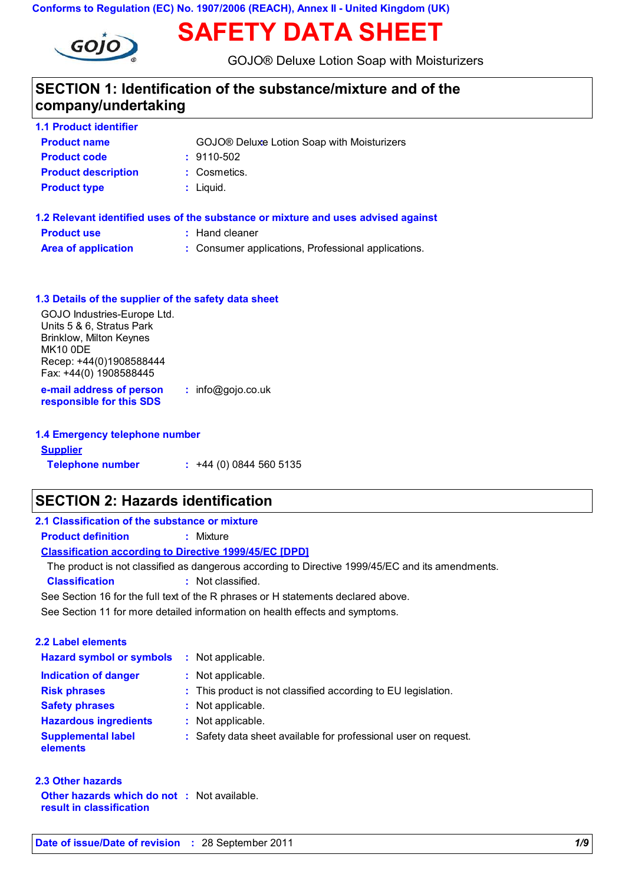### **Conforms to Regulation (EC) No. 1907/2006 (REACH), Annex II - United Kingdom (UK)**



# **SAFETY DATA SHEET**

GOJO® Deluxe Lotion Soap with Moisturizers

### **SECTION 1: Identification of the substance/mixture and of the company/undertaking**

| <b>Product name</b>        | GOJO® Deluxe Lotion Soap with Moisturizers |
|----------------------------|--------------------------------------------|
| <b>Product code</b>        | $: 9110 - 502$                             |
| <b>Product description</b> | : Cosmetics.                               |
| <b>Product type</b>        | $:$ Liquid.                                |

| 1.2 Relevant identified uses of the substance or mixture and uses advised against |                                                     |  |  |
|-----------------------------------------------------------------------------------|-----------------------------------------------------|--|--|
| <b>Product use</b>                                                                | : Hand cleaner                                      |  |  |
| <b>Area of application</b>                                                        | : Consumer applications, Professional applications. |  |  |

| 1.3 Details of the supplier of the safety data sheet     |                     |
|----------------------------------------------------------|---------------------|
| GOJO Industries-Europe Ltd.<br>Units 5 & 6, Stratus Park |                     |
| <b>Brinklow, Milton Keynes</b>                           |                     |
| <b>MK10 ODE</b>                                          |                     |
| Recep: +44(0)1908588444                                  |                     |
| Fax: +44(0) 1908588445                                   |                     |
| e-mail address of person<br>responsible for this SDS     | $:$ info@gojo.co.uk |
|                                                          |                     |

| 1.4 Emergency telephone number |                              |  |  |
|--------------------------------|------------------------------|--|--|
| <b>Supplier</b>                |                              |  |  |
| <b>Telephone number</b>        | $\div$ +44 (0) 0844 560 5135 |  |  |

# **SECTION 2: Hazards identification**

| 2.1 Classification of the substance or mixture                |                                                                                                  |
|---------------------------------------------------------------|--------------------------------------------------------------------------------------------------|
| <b>Product definition</b>                                     | $:$ Mixture                                                                                      |
| <b>Classification according to Directive 1999/45/EC [DPD]</b> |                                                                                                  |
|                                                               | The product is not classified as dangerous according to Directive 1999/45/EC and its amendments. |
| <b>Classification</b>                                         | : Not classified.                                                                                |
|                                                               | See Section 16 for the full text of the R phrases or H statements declared above.                |
|                                                               | See Section 11 for more detailed information on health effects and symptoms.                     |
|                                                               |                                                                                                  |
| 2.2 Label elements                                            |                                                                                                  |
| <b>Hazard symbol or symbols</b>                               | : Not applicable.                                                                                |
| Indication of danger                                          | : Not applicable.                                                                                |
| <b>Risk phrases</b>                                           | : This product is not classified according to EU legislation.                                    |
| <b>Safety phrases</b>                                         | : Not applicable.                                                                                |
| <b>Hazardous ingredients</b>                                  | : Not applicable.                                                                                |
| <b>Supplemental label</b><br>elements                         | : Safety data sheet available for professional user on request.                                  |
|                                                               |                                                                                                  |

| 2.3 Other hazards                                                              |  |
|--------------------------------------------------------------------------------|--|
| <b>Other hazards which do not : Not available.</b><br>result in classification |  |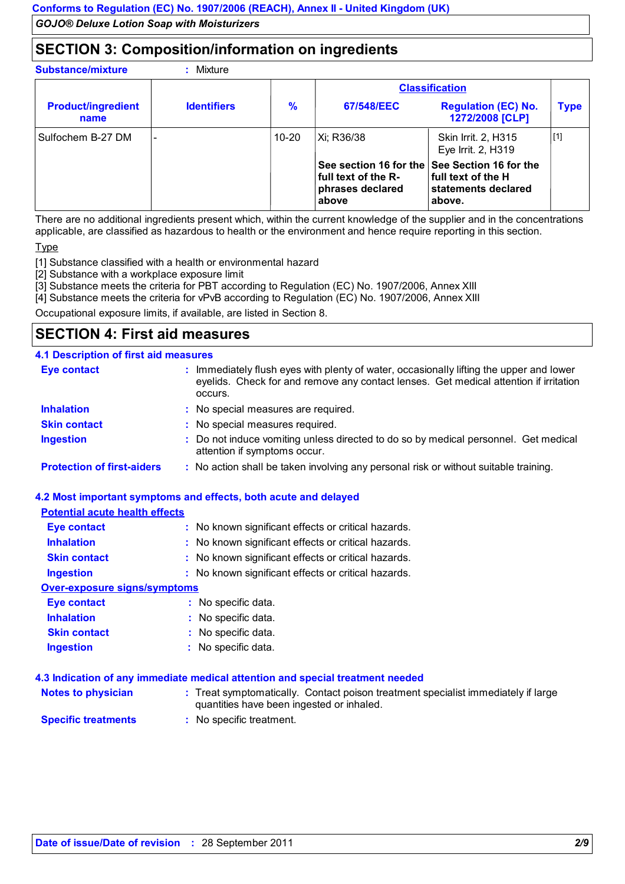### **SECTION 3: Composition/information on ingredients**

**:**

**Substance/mixture** 

|                                   |                          |               |                                                                            | <b>Classification</b>                                                         |             |
|-----------------------------------|--------------------------|---------------|----------------------------------------------------------------------------|-------------------------------------------------------------------------------|-------------|
| <b>Product/ingredient</b><br>name | <b>Identifiers</b>       | $\frac{9}{6}$ | 67/548/EEC                                                                 | <b>Regulation (EC) No.</b><br>1272/2008 [CLP]                                 | <b>Type</b> |
| Sulfochem B-27 DM                 | $\overline{\phantom{0}}$ | $10 - 20$     | Xi; R36/38                                                                 | Skin Irrit. 2, H315<br>Eye Irrit. 2, H319                                     | [1]         |
|                                   |                          |               | See section 16 for the<br>full text of the R-<br>phrases declared<br>above | See Section 16 for the<br>full text of the H<br>statements declared<br>above. |             |

There are no additional ingredients present which, within the current knowledge of the supplier and in the concentrations applicable, are classified as hazardous to health or the environment and hence require reporting in this section.

Type

[1] Substance classified with a health or environmental hazard

[2] Substance with a workplace exposure limit

[3] Substance meets the criteria for PBT according to Regulation (EC) No. 1907/2006, Annex XIII

[4] Substance meets the criteria for vPvB according to Regulation (EC) No. 1907/2006, Annex XIII

Occupational exposure limits, if available, are listed in Section 8.

### **SECTION 4: First aid measures**

#### **4.1 Description of first aid measures**

| <b>Eye contact</b>                | : Immediately flush eyes with plenty of water, occasionally lifting the upper and lower<br>eyelids. Check for and remove any contact lenses. Get medical attention if irritation<br>occurs. |
|-----------------------------------|---------------------------------------------------------------------------------------------------------------------------------------------------------------------------------------------|
| <b>Inhalation</b>                 | : No special measures are required.                                                                                                                                                         |
| <b>Skin contact</b>               | : No special measures required.                                                                                                                                                             |
| <b>Ingestion</b>                  | : Do not induce vomiting unless directed to do so by medical personnel. Get medical<br>attention if symptoms occur.                                                                         |
| <b>Protection of first-aiders</b> | : No action shall be taken involving any personal risk or without suitable training.                                                                                                        |

#### **4.2 Most important symptoms and effects, both acute and delayed**

### **Potential acute health effects**

| <b>Eye contact</b>           | : No known significant effects or critical hazards. |
|------------------------------|-----------------------------------------------------|
| <b>Inhalation</b>            | : No known significant effects or critical hazards. |
| <b>Skin contact</b>          | : No known significant effects or critical hazards. |
| <b>Ingestion</b>             | : No known significant effects or critical hazards. |
| Over-exposure signs/symptoms |                                                     |
| <b>Eye contact</b>           | : No specific data.                                 |
| <b>Inhalation</b>            | : No specific data.                                 |
| <b>Skin contact</b>          | : No specific data.                                 |
| <b>Ingestion</b>             | : No specific data.                                 |

#### **4.3 Indication of any immediate medical attention and special treatment needed**

| <b>Notes to physician</b> | : Treat symptomatically. Contact poison treatment specialist immediately if large<br>quantities have been ingested or inhaled. |
|---------------------------|--------------------------------------------------------------------------------------------------------------------------------|
|                           |                                                                                                                                |

**Specific treatments :** No specific treatment.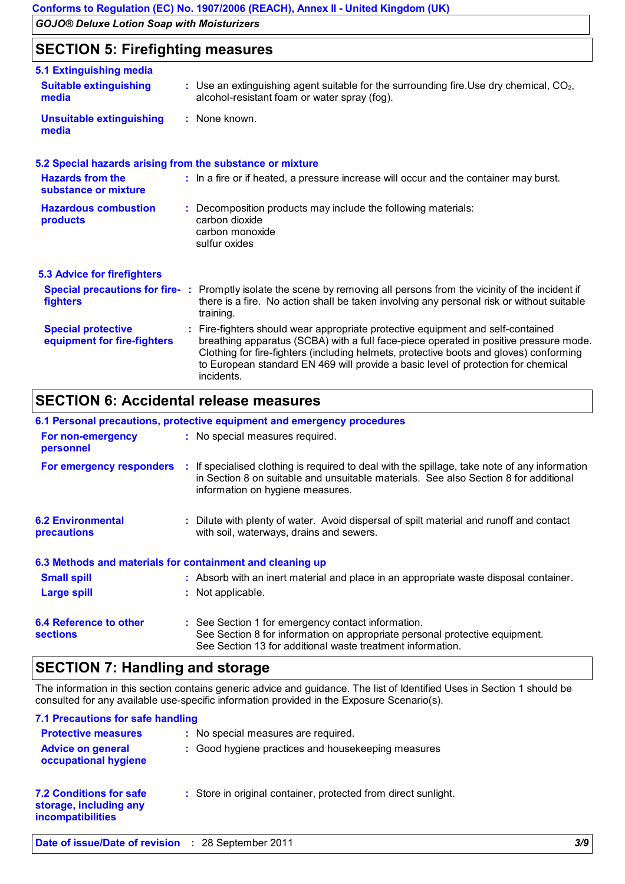### **SECTION 5: Firefighting measures**

| 5.1 Extinguishing media                                   |                                                                                                                                                                                                                                                                                                                                                                     |
|-----------------------------------------------------------|---------------------------------------------------------------------------------------------------------------------------------------------------------------------------------------------------------------------------------------------------------------------------------------------------------------------------------------------------------------------|
| <b>Suitable extinguishing</b><br>media                    | $\therefore$ Use an extinguishing agent suitable for the surrounding fire. Use dry chemical, $CO2$ ,<br>alcohol-resistant foam or water spray (fog).                                                                                                                                                                                                                |
| <b>Unsuitable extinguishing</b><br>media                  | : None known.                                                                                                                                                                                                                                                                                                                                                       |
| 5.2 Special hazards arising from the substance or mixture |                                                                                                                                                                                                                                                                                                                                                                     |
| <b>Hazards from the</b><br>substance or mixture           | : In a fire or if heated, a pressure increase will occur and the container may burst.                                                                                                                                                                                                                                                                               |
| <b>Hazardous combustion</b><br>products                   | Decomposition products may include the following materials:<br>carbon dioxide<br>carbon monoxide<br>sulfur oxides                                                                                                                                                                                                                                                   |
| <b>5.3 Advice for firefighters</b>                        |                                                                                                                                                                                                                                                                                                                                                                     |
| fighters                                                  | Special precautions for fire-: Promptly isolate the scene by removing all persons from the vicinity of the incident if<br>there is a fire. No action shall be taken involving any personal risk or without suitable<br>training.                                                                                                                                    |
| <b>Special protective</b><br>equipment for fire-fighters  | Fire-fighters should wear appropriate protective equipment and self-contained<br>breathing apparatus (SCBA) with a full face-piece operated in positive pressure mode.<br>Clothing for fire-fighters (including helmets, protective boots and gloves) conforming<br>to European standard EN 469 will provide a basic level of protection for chemical<br>incidents. |

### **SECTION 6: Accidental release measures**

| 6.1 Personal precautions, protective equipment and emergency procedures |  |                                                                                                                                                                                                                           |  |  |
|-------------------------------------------------------------------------|--|---------------------------------------------------------------------------------------------------------------------------------------------------------------------------------------------------------------------------|--|--|
| For non-emergency<br>personnel                                          |  | : No special measures required.                                                                                                                                                                                           |  |  |
| For emergency responders                                                |  | : If specialised clothing is required to deal with the spillage, take note of any information<br>in Section 8 on suitable and unsuitable materials. See also Section 8 for additional<br>information on hygiene measures. |  |  |
| <b>6.2 Environmental</b><br>precautions                                 |  | : Dilute with plenty of water. Avoid dispersal of spilt material and runoff and contact<br>with soil, waterways, drains and sewers.                                                                                       |  |  |
| 6.3 Methods and materials for containment and cleaning up               |  |                                                                                                                                                                                                                           |  |  |
| <b>Small spill</b>                                                      |  | : Absorb with an inert material and place in an appropriate waste disposal container.                                                                                                                                     |  |  |
| Large spill                                                             |  | : Not applicable.                                                                                                                                                                                                         |  |  |
| 6.4 Reference to other<br><b>sections</b>                               |  | : See Section 1 for emergency contact information.<br>See Section 8 for information on appropriate personal protective equipment.<br>See Section 13 for additional waste treatment information.                           |  |  |

# **SECTION 7: Handling and storage**

The information in this section contains generic advice and guidance. The list of Identified Uses in Section 1 should be consulted for any available use-specific information provided in the Exposure Scenario(s).

| 7.1 Precautions for safe handling                                                    |                                                                |
|--------------------------------------------------------------------------------------|----------------------------------------------------------------|
| <b>Protective measures</b>                                                           | : No special measures are required.                            |
| <b>Advice on general</b><br>occupational hygiene                                     | : Good hygiene practices and housekeeping measures             |
| <b>7.2 Conditions for safe</b><br>storage, including any<br><i>incompatibilities</i> | : Store in original container, protected from direct sunlight. |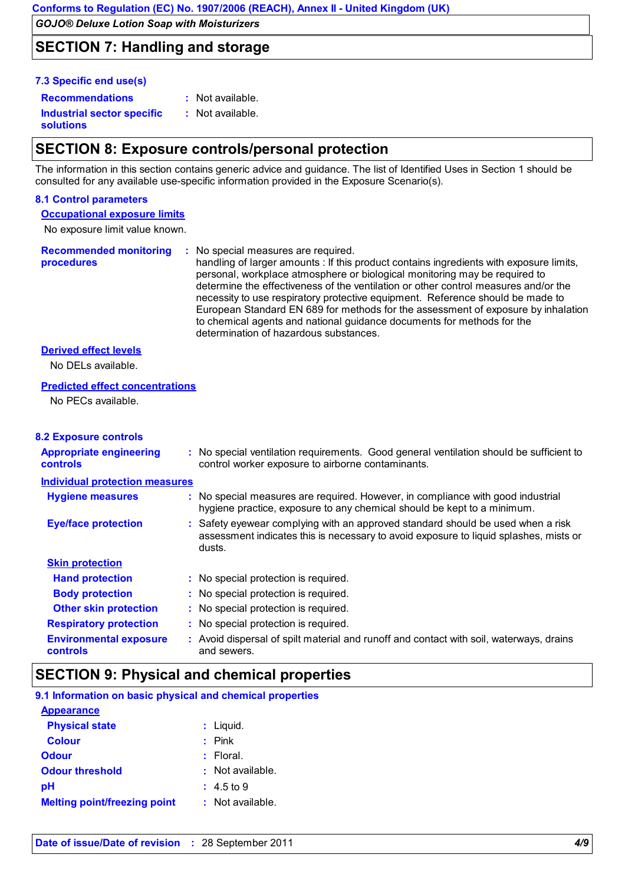### **SECTION 7: Handling and storage**

#### **7.3 Specific end use(s)**

**Recommendations : Industrial sector specific : solutions** : Not available. : Not available.

### **SECTION 8: Exposure controls/personal protection**

The information in this section contains generic advice and guidance. The list of Identified Uses in Section 1 should be consulted for any available use-specific information provided in the Exposure Scenario(s).

#### **8.1 Control parameters**

**Occupational exposure limits**

No exposure limit value known.

**Recommended monitoring procedures** No special measures are required. **:** handling of larger amounts : If this product contains ingredients with exposure limits, personal, workplace atmosphere or biological monitoring may be required to determine the effectiveness of the ventilation or other control measures and/or the necessity to use respiratory protective equipment. Reference should be made to European Standard EN 689 for methods for the assessment of exposure by inhalation to chemical agents and national guidance documents for methods for the determination of hazardous substances.

#### **Derived effect levels**

No DELs available.

#### **Predicted effect concentrations**

No PECs available.

#### **8.2 Exposure controls**

| <b>Appropriate engineering</b><br><b>controls</b> | : No special ventilation requirements. Good general ventilation should be sufficient to<br>control worker exposure to airborne contaminants.                                       |  |
|---------------------------------------------------|------------------------------------------------------------------------------------------------------------------------------------------------------------------------------------|--|
| <b>Individual protection measures</b>             |                                                                                                                                                                                    |  |
| <b>Hygiene measures</b>                           | : No special measures are required. However, in compliance with good industrial<br>hygiene practice, exposure to any chemical should be kept to a minimum.                         |  |
| <b>Eye/face protection</b>                        | : Safety eyewear complying with an approved standard should be used when a risk<br>assessment indicates this is necessary to avoid exposure to liquid splashes, mists or<br>dusts. |  |
| <b>Skin protection</b>                            |                                                                                                                                                                                    |  |
| <b>Hand protection</b>                            | : No special protection is required.                                                                                                                                               |  |
| <b>Body protection</b>                            | : No special protection is required.                                                                                                                                               |  |
| <b>Other skin protection</b>                      | : No special protection is required.                                                                                                                                               |  |
| <b>Respiratory protection</b>                     | : No special protection is required.                                                                                                                                               |  |
| <b>Environmental exposure</b><br><b>controls</b>  | : Avoid dispersal of spilt material and runoff and contact with soil, waterways, drains<br>and sewers.                                                                             |  |

### **SECTION 9: Physical and chemical properties**

| 9.1 Information on basic physical and chemical properties |                       |  |  |  |
|-----------------------------------------------------------|-----------------------|--|--|--|
| <b>Appearance</b>                                         |                       |  |  |  |
| <b>Physical state</b>                                     | $:$ Liquid.           |  |  |  |
| <b>Colour</b>                                             | $:$ Pink              |  |  |  |
| <b>Odour</b>                                              | $:$ Floral.           |  |  |  |
| <b>Odour threshold</b>                                    | : Not available.      |  |  |  |
| рH                                                        | $: 4.5 \text{ to } 9$ |  |  |  |
| <b>Melting point/freezing point</b>                       | $:$ Not available.    |  |  |  |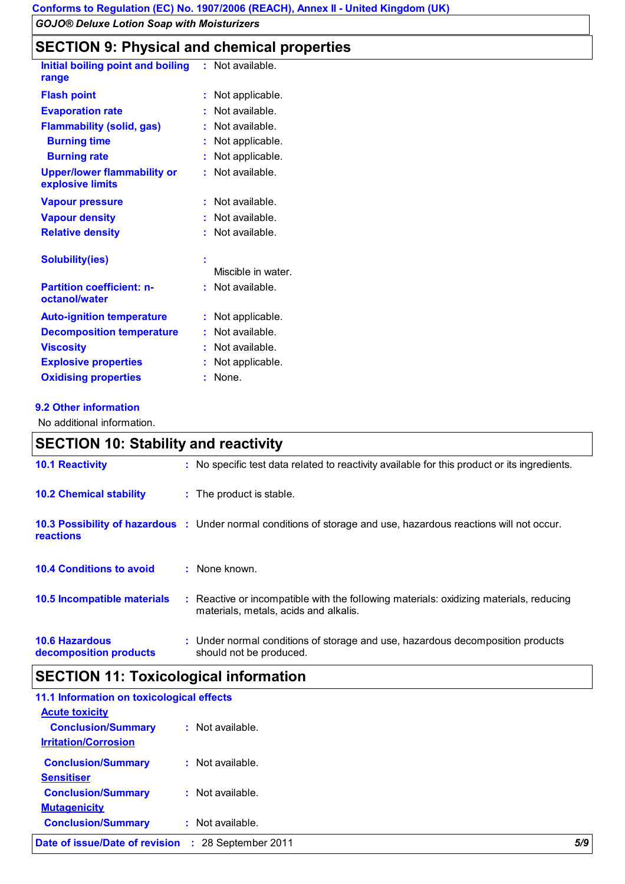### **SECTION 9: Physical and chemical properties**

|    | : Not available.   |
|----|--------------------|
| t  | Not applicable.    |
| ÷. | Not available.     |
|    | Not available.     |
| t. | Not applicable.    |
|    | Not applicable.    |
| ÷  | Not available.     |
| ÷. | Not available.     |
|    | Not available.     |
| ŧ  | Not available.     |
|    | Miscible in water. |
| t. | Not available.     |
| ÷. | Not applicable.    |
| ÷  | Not available.     |
| t. | Not available.     |
|    | Not applicable.    |
| t  | None.              |
|    |                    |

### **9.2 Other information**

No additional information.

# **SECTION 10: Stability and reactivity**

| <b>10.1 Reactivity</b>                          | : No specific test data related to reactivity available for this product or its ingredients.                                    |
|-------------------------------------------------|---------------------------------------------------------------------------------------------------------------------------------|
| <b>10.2 Chemical stability</b>                  | : The product is stable.                                                                                                        |
| <b>reactions</b>                                | 10.3 Possibility of hazardous : Under normal conditions of storage and use, hazardous reactions will not occur.                 |
| <b>10.4 Conditions to avoid</b>                 | $:$ None known.                                                                                                                 |
| <b>10.5 Incompatible materials</b>              | : Reactive or incompatible with the following materials: oxidizing materials, reducing<br>materials, metals, acids and alkalis. |
| <b>10.6 Hazardous</b><br>decomposition products | : Under normal conditions of storage and use, hazardous decomposition products<br>should not be produced.                       |

# **SECTION 11: Toxicological information**

| 11.1 Information on toxicological effects |                        |     |
|-------------------------------------------|------------------------|-----|
| <b>Acute toxicity</b>                     |                        |     |
| <b>Conclusion/Summary</b>                 | $:$ Not available.     |     |
| <b>Irritation/Corrosion</b>               |                        |     |
| <b>Conclusion/Summary</b>                 | $:$ Not available.     |     |
| <b>Sensitiser</b>                         |                        |     |
| <b>Conclusion/Summary</b>                 | $:$ Not available.     |     |
| <b>Mutagenicity</b>                       |                        |     |
| <b>Conclusion/Summary</b>                 | $:$ Not available.     |     |
| Date of issue/Date of revision            | 28 September 2011<br>÷ | 5/9 |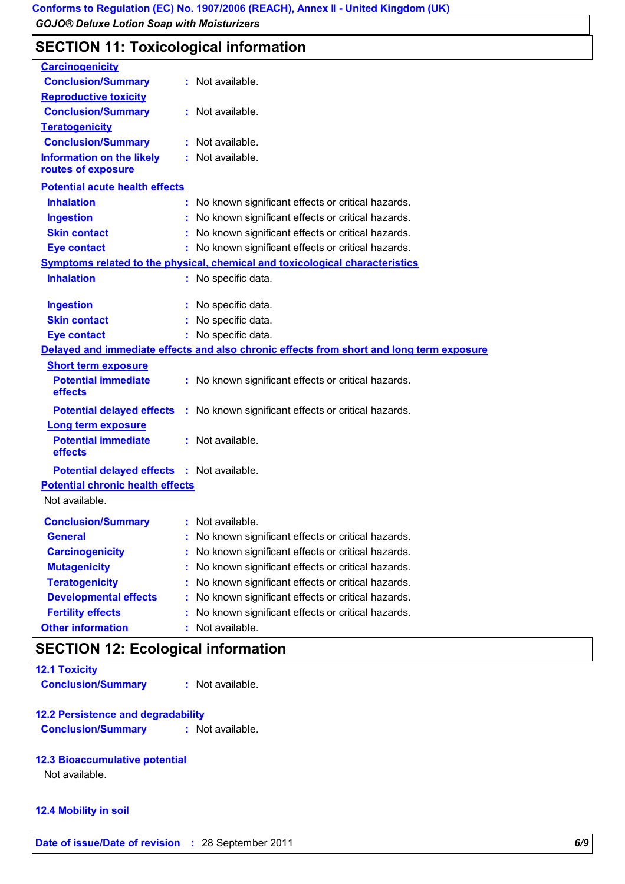### **SECTION 11: Toxicological information**

| <b>Carcinogenicity</b>                                 |                                                                                          |  |
|--------------------------------------------------------|------------------------------------------------------------------------------------------|--|
| <b>Conclusion/Summary</b>                              | : Not available.                                                                         |  |
| <b>Reproductive toxicity</b>                           |                                                                                          |  |
| <b>Conclusion/Summary</b>                              | Not available.<br>t.                                                                     |  |
| <b>Teratogenicity</b>                                  |                                                                                          |  |
| <b>Conclusion/Summary</b>                              | : Not available.                                                                         |  |
| <b>Information on the likely</b><br>routes of exposure | Not available.<br>t.                                                                     |  |
| <b>Potential acute health effects</b>                  |                                                                                          |  |
| <b>Inhalation</b>                                      | No known significant effects or critical hazards.<br>÷.                                  |  |
| <b>Ingestion</b>                                       | No known significant effects or critical hazards.                                        |  |
| <b>Skin contact</b>                                    | No known significant effects or critical hazards.<br>÷.                                  |  |
| <b>Eye contact</b>                                     | No known significant effects or critical hazards.                                        |  |
|                                                        | Symptoms related to the physical, chemical and toxicological characteristics             |  |
| <b>Inhalation</b>                                      | No specific data.<br>t.                                                                  |  |
|                                                        |                                                                                          |  |
| <b>Ingestion</b>                                       | No specific data.                                                                        |  |
| <b>Skin contact</b>                                    | No specific data.                                                                        |  |
| <b>Eye contact</b>                                     | No specific data.<br>t.                                                                  |  |
|                                                        | Delayed and immediate effects and also chronic effects from short and long term exposure |  |
| <b>Short term exposure</b>                             |                                                                                          |  |
| <b>Potential immediate</b><br>effects                  | : No known significant effects or critical hazards.                                      |  |
| <b>Potential delayed effects</b>                       | No known significant effects or critical hazards.<br>÷.                                  |  |
| <b>Long term exposure</b>                              |                                                                                          |  |
| <b>Potential immediate</b><br>effects                  | : Not available.                                                                         |  |
| <b>Potential delayed effects : Not available.</b>      |                                                                                          |  |
| <b>Potential chronic health effects</b>                |                                                                                          |  |
| Not available.                                         |                                                                                          |  |
| <b>Conclusion/Summary</b>                              | : Not available.                                                                         |  |
| <b>General</b>                                         | No known significant effects or critical hazards.                                        |  |
| <b>Carcinogenicity</b>                                 | No known significant effects or critical hazards.                                        |  |
| <b>Mutagenicity</b>                                    | No known significant effects or critical hazards.                                        |  |
| <b>Teratogenicity</b>                                  | No known significant effects or critical hazards.                                        |  |
| <b>Developmental effects</b>                           | No known significant effects or critical hazards.                                        |  |
| <b>Fertility effects</b>                               | No known significant effects or critical hazards.                                        |  |
| <b>Other information</b>                               | Not available.                                                                           |  |

### **SECTION 12: Ecological information**

| <b>12.1 Toxicity</b>      |                  |
|---------------------------|------------------|
| <b>Conclusion/Summary</b> | : Not available. |

#### **12.2 Persistence and degradability**

**Conclusion/Summary :** Not available.

#### **12.3 Bioaccumulative potential**

Not available.

#### **12.4 Mobility in soil**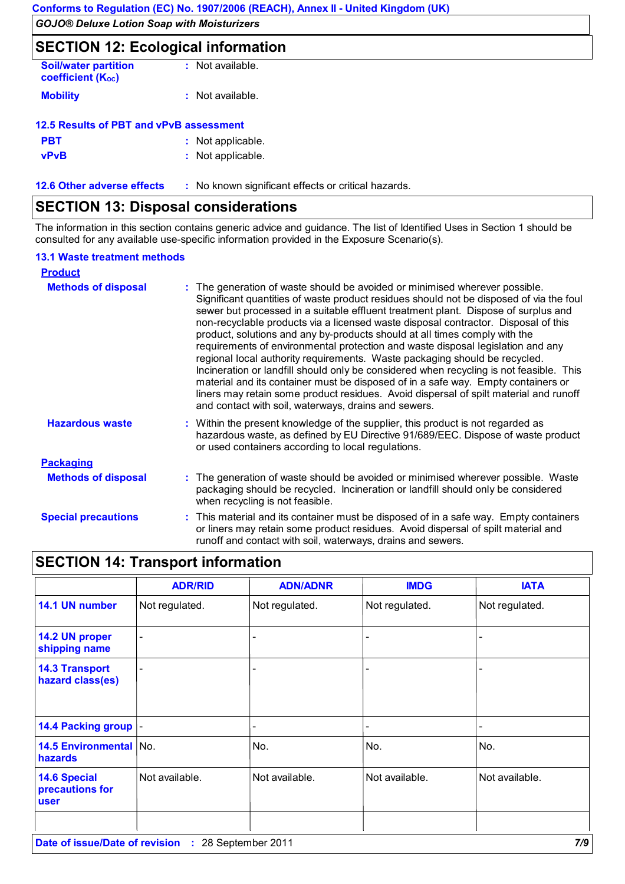# **SECTION 12: Ecological information**

| <b>Soil/water partition</b><br><b>coefficient (Koc)</b> | $:$ Not available. |
|---------------------------------------------------------|--------------------|
| <b>Mobility</b>                                         | : Not available.   |

| 12.5 Results of PBT and vPvB assessment |  |                   |  |  |
|-----------------------------------------|--|-------------------|--|--|
| <b>PBT</b>                              |  | : Not applicable. |  |  |
| <b>vPvB</b>                             |  | : Not applicable. |  |  |

**12.6 Other adverse effects** : No known significant effects or critical hazards.

# **SECTION 13: Disposal considerations**

The information in this section contains generic advice and guidance. The list of Identified Uses in Section 1 should be consulted for any available use-specific information provided in the Exposure Scenario(s).

### **13.1 Waste treatment methods**

| <b>Product</b>             |                                                                                                                                                                                                                                                                                                                                                                                                                                                                                                                                                                                                                                                                                                                                                                                                                                                                                                                                    |
|----------------------------|------------------------------------------------------------------------------------------------------------------------------------------------------------------------------------------------------------------------------------------------------------------------------------------------------------------------------------------------------------------------------------------------------------------------------------------------------------------------------------------------------------------------------------------------------------------------------------------------------------------------------------------------------------------------------------------------------------------------------------------------------------------------------------------------------------------------------------------------------------------------------------------------------------------------------------|
| <b>Methods of disposal</b> | : The generation of waste should be avoided or minimised wherever possible.<br>Significant quantities of waste product residues should not be disposed of via the foul<br>sewer but processed in a suitable effluent treatment plant. Dispose of surplus and<br>non-recyclable products via a licensed waste disposal contractor. Disposal of this<br>product, solutions and any by-products should at all times comply with the<br>requirements of environmental protection and waste disposal legislation and any<br>regional local authority requirements. Waste packaging should be recycled.<br>Incineration or landfill should only be considered when recycling is not feasible. This<br>material and its container must be disposed of in a safe way. Empty containers or<br>liners may retain some product residues. Avoid dispersal of spilt material and runoff<br>and contact with soil, waterways, drains and sewers. |
| <b>Hazardous waste</b>     | : Within the present knowledge of the supplier, this product is not regarded as<br>hazardous waste, as defined by EU Directive 91/689/EEC. Dispose of waste product<br>or used containers according to local regulations.                                                                                                                                                                                                                                                                                                                                                                                                                                                                                                                                                                                                                                                                                                          |
| <b>Packaging</b>           |                                                                                                                                                                                                                                                                                                                                                                                                                                                                                                                                                                                                                                                                                                                                                                                                                                                                                                                                    |
| <b>Methods of disposal</b> | : The generation of waste should be avoided or minimised wherever possible. Waste<br>packaging should be recycled. Incineration or landfill should only be considered<br>when recycling is not feasible.                                                                                                                                                                                                                                                                                                                                                                                                                                                                                                                                                                                                                                                                                                                           |
| <b>Special precautions</b> | : This material and its container must be disposed of in a safe way. Empty containers<br>or liners may retain some product residues. Avoid dispersal of spilt material and<br>runoff and contact with soil, waterways, drains and sewers.                                                                                                                                                                                                                                                                                                                                                                                                                                                                                                                                                                                                                                                                                          |

# **SECTION 14: Transport information**

|                                                              | <b>ADR/RID</b> | <b>ADN/ADNR</b> | <b>IMDG</b>    | <b>IATA</b>    |  |
|--------------------------------------------------------------|----------------|-----------------|----------------|----------------|--|
| 14.1 UN number                                               | Not regulated. | Not regulated.  | Not regulated. | Not regulated. |  |
| 14.2 UN proper<br>shipping name                              | $\blacksquare$ |                 |                |                |  |
| <b>14.3 Transport</b><br>hazard class(es)                    |                |                 |                |                |  |
| 14.4 Packing group  -                                        |                |                 |                |                |  |
| 14.5 Environmental No.<br>hazards                            |                | No.             | No.            | No.            |  |
| <b>14.6 Special</b><br>precautions for<br><b>user</b>        | Not available. | Not available.  | Not available. | Not available. |  |
| 7/9<br>Date of issue/Date of revision<br>: 28 September 2011 |                |                 |                |                |  |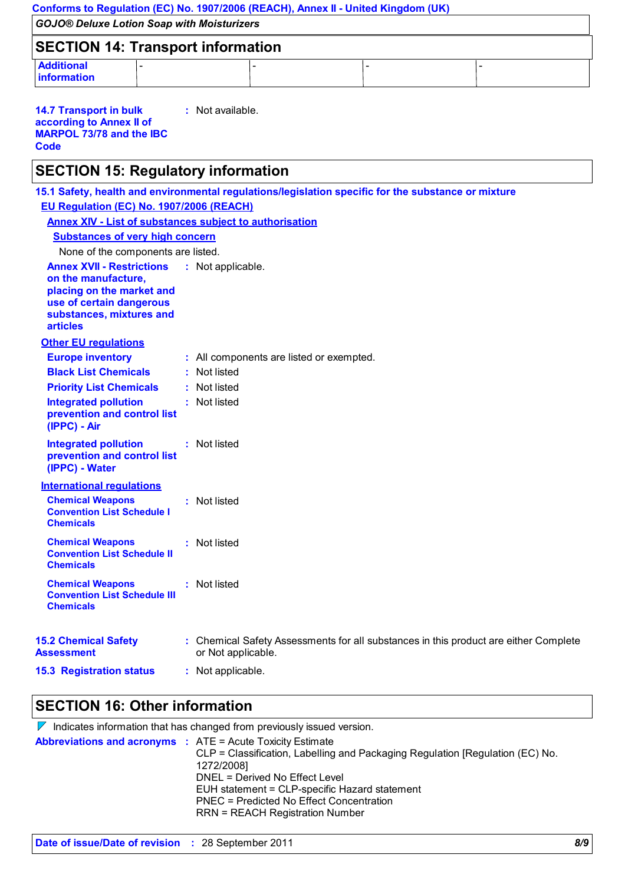| Conforms to Regulation (EC) No. 1907/2006 (REACH), Annex II - United Kingdom (UK)                                                                                                                                                                                                                                                                                                                                                                                                                                                                                                                                                                      |  |                                                                               |                                          |  |                                                                                                     |  |
|--------------------------------------------------------------------------------------------------------------------------------------------------------------------------------------------------------------------------------------------------------------------------------------------------------------------------------------------------------------------------------------------------------------------------------------------------------------------------------------------------------------------------------------------------------------------------------------------------------------------------------------------------------|--|-------------------------------------------------------------------------------|------------------------------------------|--|-----------------------------------------------------------------------------------------------------|--|
| <b>GOJO® Deluxe Lotion Soap with Moisturizers</b>                                                                                                                                                                                                                                                                                                                                                                                                                                                                                                                                                                                                      |  |                                                                               |                                          |  |                                                                                                     |  |
| <b>SECTION 14: Transport information</b>                                                                                                                                                                                                                                                                                                                                                                                                                                                                                                                                                                                                               |  |                                                                               |                                          |  |                                                                                                     |  |
| <b>Additional</b><br>information                                                                                                                                                                                                                                                                                                                                                                                                                                                                                                                                                                                                                       |  |                                                                               |                                          |  |                                                                                                     |  |
| <b>14.7 Transport in bulk</b><br>according to Annex II of<br><b>MARPOL 73/78 and the IBC</b><br>Code                                                                                                                                                                                                                                                                                                                                                                                                                                                                                                                                                   |  | : Not available.                                                              |                                          |  |                                                                                                     |  |
| <b>SECTION 15: Regulatory information</b>                                                                                                                                                                                                                                                                                                                                                                                                                                                                                                                                                                                                              |  |                                                                               |                                          |  |                                                                                                     |  |
| EU Regulation (EC) No. 1907/2006 (REACH)<br><b>Annex XIV - List of substances subject to authorisation</b><br><b>Substances of very high concern</b><br>None of the components are listed.<br><b>Annex XVII - Restrictions</b><br>on the manufacture,<br>placing on the market and<br>use of certain dangerous<br>substances, mixtures and<br><b>articles</b><br><b>Other EU regulations</b><br><b>Europe inventory</b><br><b>Black List Chemicals</b><br><b>Priority List Chemicals</b><br><b>Integrated pollution</b><br>prevention and control list<br>(IPPC) - Air<br><b>Integrated pollution</b><br>prevention and control list<br>(IPPC) - Water |  | : Not applicable.<br>Not listed<br>Not listed<br>: Not listed<br>: Not listed | : All components are listed or exempted. |  | 15.1 Safety, health and environmental regulations/legislation specific for the substance or mixture |  |
| <b>International regulations</b><br><b>Chemical Weapons</b><br><b>Convention List Schedule I</b>                                                                                                                                                                                                                                                                                                                                                                                                                                                                                                                                                       |  | : Not listed                                                                  |                                          |  |                                                                                                     |  |
| <b>Chemicals</b><br><b>Chemical Weapons</b><br><b>Convention List Schedule II</b><br><b>Chemicals</b>                                                                                                                                                                                                                                                                                                                                                                                                                                                                                                                                                  |  | : Not listed                                                                  |                                          |  |                                                                                                     |  |
| <b>Chemical Weapons</b><br><b>Convention List Schedule III</b><br><b>Chemicals</b>                                                                                                                                                                                                                                                                                                                                                                                                                                                                                                                                                                     |  | : Not listed                                                                  |                                          |  |                                                                                                     |  |
| <b>15.2 Chemical Safety</b><br><b>Assessment</b>                                                                                                                                                                                                                                                                                                                                                                                                                                                                                                                                                                                                       |  | or Not applicable.                                                            |                                          |  | : Chemical Safety Assessments for all substances in this product are either Complete                |  |
| <b>15.3 Registration status</b>                                                                                                                                                                                                                                                                                                                                                                                                                                                                                                                                                                                                                        |  | : Not applicable.                                                             |                                          |  |                                                                                                     |  |

# **SECTION 16: Other information**

| $\mathbb V$ Indicates information that has changed from previously issued version. |                                                                                                                                                                                                                                                               |  |  |  |
|------------------------------------------------------------------------------------|---------------------------------------------------------------------------------------------------------------------------------------------------------------------------------------------------------------------------------------------------------------|--|--|--|
| <b>Abbreviations and acronyms : ATE = Acute Toxicity Estimate</b>                  | CLP = Classification, Labelling and Packaging Regulation [Regulation (EC) No.<br>1272/2008]<br>DNEL = Derived No Effect Level<br>EUH statement = CLP-specific Hazard statement<br>PNEC = Predicted No Effect Concentration<br>RRN = REACH Registration Number |  |  |  |
|                                                                                    |                                                                                                                                                                                                                                                               |  |  |  |